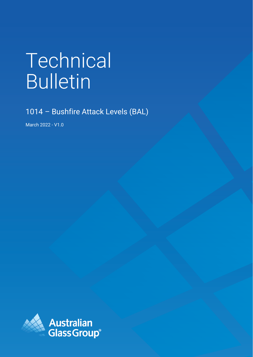# Technical Bulletin

1014 – Bushfire Attack Levels (BAL)

March 2022 - V1.0

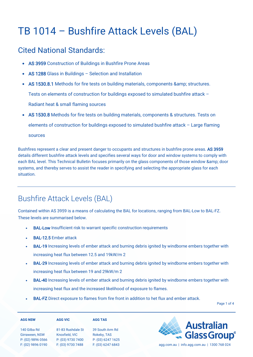# TB 1014 – Bushfire Attack Levels (BAL)

#### Cited National Standards:

- AS 3959 Construction of Buildings in Bushfire Prone Areas
- AS 1288 Glass in Buildings Selection and Installation
- AS 1530.8.1 Methods for fire tests on building materials, components & amp; structures.

Tests on elements of construction for buildings exposed to simulated bushfire attack –

Radiant heat & small flaming sources

• AS 1530.8 Methods for fire tests on building materials, components & structures. Tests on elements of construction for buildings exposed to simulated bushfire attack – Large flaming sources

Bushfires represent a clear and present danger to occupants and structures in bushfire prone areas. AS 3959 details different bushfire attack levels and specifies several ways for door and window systems to comply with each BAL level. This Technical Bulletin focuses primarily on the glass components of those window & amp; door systems, and thereby serves to assist the reader in specifying and selecting the appropriate glass for each situation.

## Bushfire Attack Levels (BAL)

Contained within AS 3959 is a means of calculating the BAL for locations, ranging from BAL-Low to BAL-FZ. These levels are summarised below.

- **BAL-Low** Insufficient risk to warrant specific construction requirements
- BAL-12.5 Ember attack
- **BAL-19** Increasing levels of ember attack and burning debris ignited by windborne embers together with increasing heat flux between 12.5 and 19kW/m 2
- **BAL-29** Increasing levels of ember attack and burning debris ignited by windborne embers together with increasing heat flux between 19 and 29kW/m 2
- **BAL-40** Increasing levels of ember attack and burning debris ignited by windborne embers together with increasing heat flux and the increased likelihood of exposure to flames.
- **BAL-FZ** Direct exposure to flames from fire front in addition to het flux and ember attack.

Page 1 of 4

| <b>AGG NSW</b>    | <b>AGG VIC</b>    | <b>AGG TAS</b>    |
|-------------------|-------------------|-------------------|
| 140 Gilba Rd      | 81-83 Rushdale St | 39 South Arm Rd   |
| Girraween, NSW    | Knoxfield, VIC    | Rokeby, TAS       |
| P: (02) 9896 0566 | P: (03) 9730 7400 | P: (03) 6247 1625 |
| F: (02) 9896 0190 | F: (03) 9730 7488 | F: (03) 6247 6843 |



agg.com.au | info.agg.com.au | 1300 768 024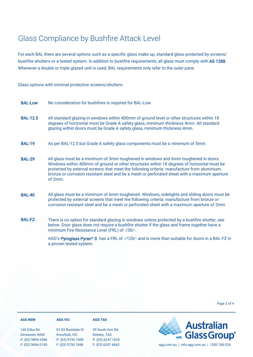### Glass Compliance by Bushfire Attack Level

For each BAL there are several options such as a specific glass make up, standard glass protected by screens/ bushfire shutters or a tested system. In addition to bushfire requirements, all glass must comply with AS 1288. Whenever a double or triple glazed unit is used, BAL requirements only refer to the outer pane.

Glass options with minimal protective screens/shutters:

- BAL-Low No consideration for bushfires is required for BAL-Low.
- BAL-12.5 All standard glazing in windows within 400mm of ground level or other structures within 18 degrees of horizontal must be Grade A safety glass, minimum thickness 4mm. All standard glazing within doors must be Grade A safety glass, minimum thickness 4mm.
- BAL-19 As per BAL-12.5 but Grade A safety glass components must be a minimum of 5mm.
- BAL-29 All glass must be a minimum of 5mm toughened in windows and 6mm toughened in doors. Windows within 400mm of ground or other structures within 18 degrees of horizontal must be protected by external screens that meet the following criteria: manufacture from aluminium, bronze or corrosion resistant steel and be a mesh or perforated sheet with a maximum aperture of 2mm.
- BAL-40 All glass must be a minimum of 6mm toughened. Windows, sidelights and sliding doors must be protected by external screens that meet the following criteria: manufacture from bronze or corrosion resistant steel and be a mesh or perforated sheet with a maximum aperture of 2mm.
- BAL-FZ There is no option for standard glazing in windows unless protected by a bushfire shutter, see below. Door glass does not require a bushfire shutter if the glass and frame together have a minimum Fire Resistance Level (FRL) of -/30/-.

AGG's [Pyroglass Pyran](https://agg.com.au/product/pyroglass-pyran-s/)**®** S has a FRL of -/120/- and is more than suitable for doors in a BAL-FZ in a proven tested system.

| <b>AGG NSW</b>    | <b>AGG VIC</b>    | <b>AGG TAS</b>    |                                             |
|-------------------|-------------------|-------------------|---------------------------------------------|
| 140 Gilba Rd      | 81-83 Rushdale St | 39 South Arm Rd   | <b>Example 3 Australian</b><br>Glass Group® |
| Girraween, NSW    | Knoxfield, VIC    | Rokeby, TAS       |                                             |
| P: (02) 9896 0566 | P: (03) 9730 7400 | P: (03) 6247 1625 |                                             |
| F: (02) 9896 0190 | F: (03) 9730 7488 | F: (03) 6247 6843 | agg.com.au   info.agg.com.au   1300 768 024 |

Page 2 of 4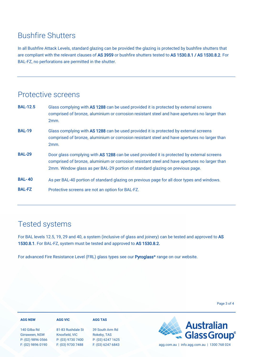#### Bushfire Shutters

In all Bushfire Attack Levels, standard glazing can be provided the glazing is protected by bushfire shutters that are compliant with the relevant clauses of AS 3959 or bushfire shutters tested to AS 1530.8.1 / AS 1530.8.2. For BAL-FZ, no perforations are permitted in the shutter.

#### Protective screens

| <b>BAL-12.5</b> | Glass complying with AS 1288 can be used provided it is protected by external screens<br>comprised of bronze, aluminium or corrosion resistant steel and have apertures no larger than<br>2mm.                                                                               |
|-----------------|------------------------------------------------------------------------------------------------------------------------------------------------------------------------------------------------------------------------------------------------------------------------------|
| <b>BAL-19</b>   | Glass complying with AS 1288 can be used provided it is protected by external screens<br>comprised of bronze, aluminium or corrosion resistant steel and have apertures no larger than<br>2mm.                                                                               |
| <b>BAL-29</b>   | Door glass complying with AS 1288 can be used provided it is protected by external screens<br>comprised of bronze, aluminium or corrosion resistant steel and have apertures no larger than<br>2mm. Window glass as per BAL-29 portion of standard glazing on previous page. |
| <b>BAL-40</b>   | As per BAL-40 portion of standard glazing on previous page for all door types and windows.                                                                                                                                                                                   |
| <b>BAL-FZ</b>   | Protective screens are not an option for BAL-FZ.                                                                                                                                                                                                                             |

#### Tested systems

For BAL levels 12.5, 19, 29 and 40, a system (inclusive of glass and joinery) can be tested and approved to AS 1530.8.1. For BAL-FZ, system must be tested and approved to AS 1530.8.2.

For advanced Fire Resistance Level (FRL) glass types see our [Pyroglass](https://agg.com.au/products/pyroglass/)**®** range on our website.

Page 3 of 4

| <b>AGG NSW</b>                 | <b>AGG VIC</b>                      | <b>AGG TAS</b>                 |                                              |
|--------------------------------|-------------------------------------|--------------------------------|----------------------------------------------|
| 140 Gilba Rd<br>Girraween, NSW | 81-83 Rushdale St<br>Knoxfield, VIC | 39 South Arm Rd<br>Rokeby, TAS | <b>Example 3 Australian</b><br>Glass Group®  |
| P: (02) 9896 0566              | P: (03) 9730 7400                   | P: (03) 6247 1625              |                                              |
| F: (02) 9896 0190              | F: (03) 9730 7488                   | F: (03) 6247 6843              | info.agg.com.au   1300 768 024<br>aqq.com.au |